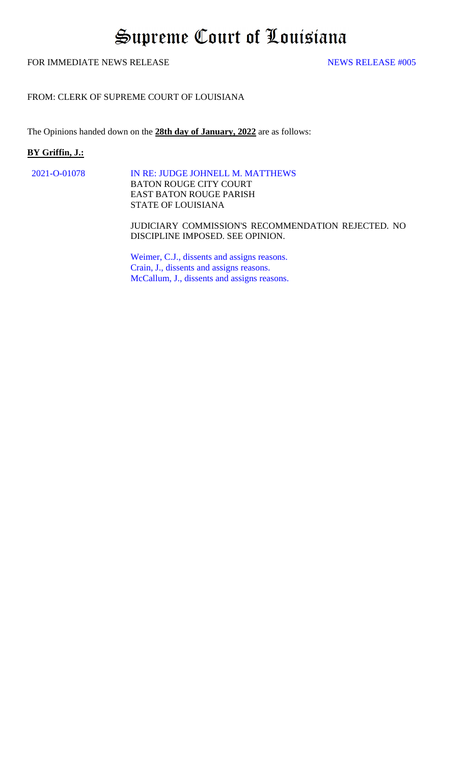# Supreme Court of Louisiana

# FOR IMMEDIATE NEWS RELEASE NEWS RELEASE  $\frac{4005}{25}$

# FROM: CLERK OF SUPREME COURT OF LOUISIANA

The Opinions handed down on the **28th day of January, 2022** are as follows:

## **BY Griffin, J.:**

[2021-O-01078 IN RE: JUDGE JOHNELL M. MATTHEWS](#page-1-0)  BATON ROUGE CITY COURT EAST BATON ROUGE PARISH STATE OF LOUISIANA

> JUDICIARY COMMISSION'S RECOMMENDATION REJECTED. NO DISCIPLINE IMPOSED. SEE OPINION.

[Weimer, C.J., dissents and assigns reasons.](#page-7-0)  [Crain, J., dissents and assigns reasons.](#page-13-0)  [McCallum, J., dissents and assigns reasons.](#page-16-0)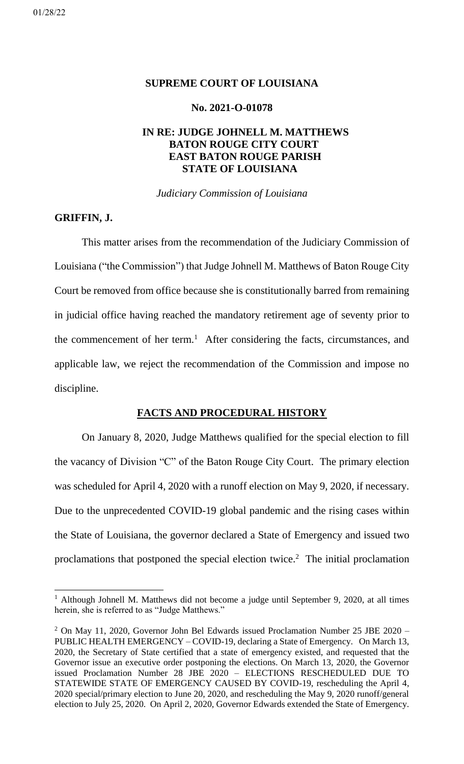# <span id="page-1-0"></span>**SUPREME COURT OF LOUISIANA**

# **No. 2021-O-01078**

# **IN RE: JUDGE JOHNELL M. MATTHEWS BATON ROUGE CITY COURT EAST BATON ROUGE PARISH STATE OF LOUISIANA**

*Judiciary Commission of Louisiana*

# **GRIFFIN, J.**

This matter arises from the recommendation of the Judiciary Commission of Louisiana ("the Commission") that Judge Johnell M. Matthews of Baton Rouge City Court be removed from office because she is constitutionally barred from remaining in judicial office having reached the mandatory retirement age of seventy prior to the commencement of her term. <sup>1</sup> After considering the facts, circumstances, and applicable law, we reject the recommendation of the Commission and impose no discipline.

# **FACTS AND PROCEDURAL HISTORY**

On January 8, 2020, Judge Matthews qualified for the special election to fill the vacancy of Division "C" of the Baton Rouge City Court. The primary election was scheduled for April 4, 2020 with a runoff election on May 9, 2020, if necessary. Due to the unprecedented COVID-19 global pandemic and the rising cases within the State of Louisiana, the governor declared a State of Emergency and issued two proclamations that postponed the special election twice.<sup>2</sup> The initial proclamation

<sup>&</sup>lt;sup>1</sup> Although Johnell M. Matthews did not become a judge until September 9, 2020, at all times herein, she is referred to as "Judge Matthews."

 $2$  On May 11, 2020, Governor John Bel Edwards issued Proclamation Number 25 JBE 2020 – PUBLIC HEALTH EMERGENCY – COVID-19, declaring a State of Emergency. On March 13, 2020, the Secretary of State certified that a state of emergency existed, and requested that the Governor issue an executive order postponing the elections. On March 13, 2020, the Governor issued Proclamation Number 28 JBE 2020 – ELECTIONS RESCHEDULED DUE TO STATEWIDE STATE OF EMERGENCY CAUSED BY COVID-19, rescheduling the April 4, 2020 special/primary election to June 20, 2020, and rescheduling the May 9, 2020 runoff/general election to July 25, 2020. On April 2, 2020, Governor Edwards extended the State of Emergency.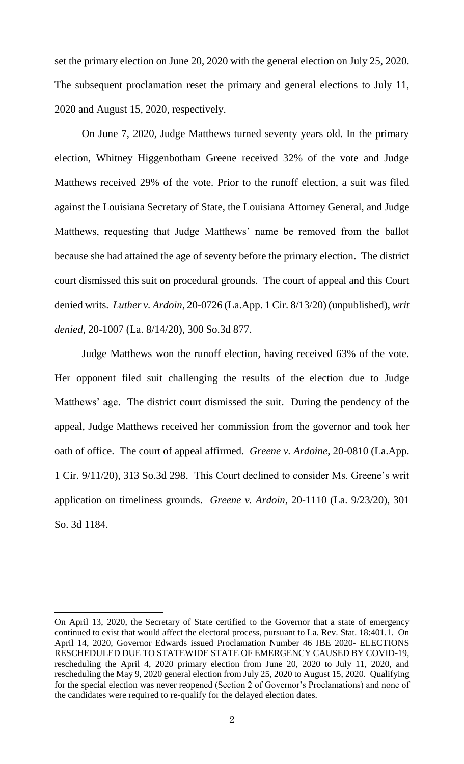set the primary election on June 20, 2020 with the general election on July 25, 2020. The subsequent proclamation reset the primary and general elections to July 11, 2020 and August 15, 2020, respectively.

On June 7, 2020, Judge Matthews turned seventy years old. In the primary election, Whitney Higgenbotham Greene received 32% of the vote and Judge Matthews received 29% of the vote. Prior to the runoff election, a suit was filed against the Louisiana Secretary of State, the Louisiana Attorney General, and Judge Matthews, requesting that Judge Matthews' name be removed from the ballot because she had attained the age of seventy before the primary election. The district court dismissed this suit on procedural grounds. The court of appeal and this Court denied writs. *Luther v. Ardoin*, 20-0726 (La.App. 1 Cir. 8/13/20) (unpublished), *writ denied*, 20-1007 (La. 8/14/20), 300 So.3d 877.

Judge Matthews won the runoff election, having received 63% of the vote. Her opponent filed suit challenging the results of the election due to Judge Matthews' age. The district court dismissed the suit. During the pendency of the appeal, Judge Matthews received her commission from the governor and took her oath of office. The court of appeal affirmed. *Greene v. Ardoine*, 20-0810 (La.App. 1 Cir. 9/11/20), 313 So.3d 298. This Court declined to consider Ms. Greene's writ application on timeliness grounds. *Greene v. Ardoin*, 20-1110 (La. 9/23/20), 301 So. 3d 1184.

On April 13, 2020, the Secretary of State certified to the Governor that a state of emergency continued to exist that would affect the electoral process, pursuant to La. Rev. Stat. 18:401.1. On April 14, 2020, Governor Edwards issued Proclamation Number 46 JBE 2020- ELECTIONS RESCHEDULED DUE TO STATEWIDE STATE OF EMERGENCY CAUSED BY COVID-19, rescheduling the April 4, 2020 primary election from June 20, 2020 to July 11, 2020, and rescheduling the May 9, 2020 general election from July 25, 2020 to August 15, 2020. Qualifying for the special election was never reopened (Section 2 of Governor's Proclamations) and none of the candidates were required to re-qualify for the delayed election dates.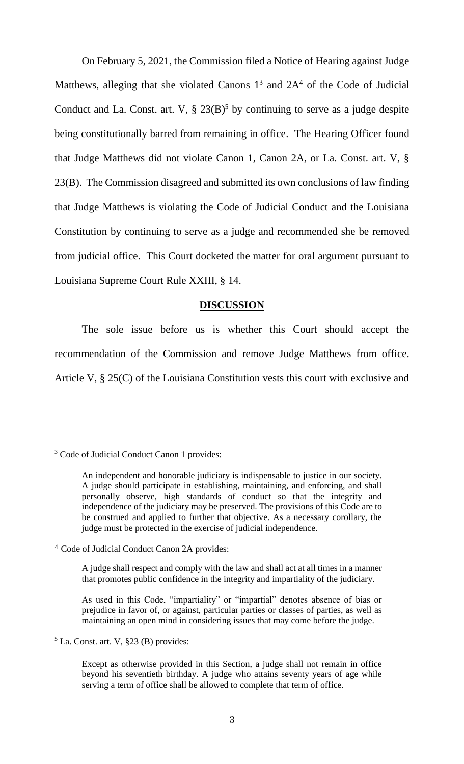On February 5, 2021, the Commission filed a Notice of Hearing against Judge Matthews, alleging that she violated Canons  $1^3$  and  $2A<sup>4</sup>$  of the Code of Judicial Conduct and La. Const. art. V,  $\S 23(B)^5$  by continuing to serve as a judge despite being constitutionally barred from remaining in office. The Hearing Officer found that Judge Matthews did not violate Canon 1, Canon 2A, or La. Const. art. V, § 23(B). The Commission disagreed and submitted its own conclusions of law finding that Judge Matthews is violating the Code of Judicial Conduct and the Louisiana Constitution by continuing to serve as a judge and recommended she be removed from judicial office. This Court docketed the matter for oral argument pursuant to Louisiana Supreme Court Rule XXIII, § 14.

#### **DISCUSSION**

The sole issue before us is whether this Court should accept the recommendation of the Commission and remove Judge Matthews from office. Article V, § 25(C) of the Louisiana Constitution vests this court with exclusive and

 $<sup>5</sup>$  La. Const. art. V, §23 (B) provides:</sup>

<sup>3</sup> Code of Judicial Conduct Canon 1 provides:

An independent and honorable judiciary is indispensable to justice in our society. A judge should participate in establishing, maintaining, and enforcing, and shall personally observe, high standards of conduct so that the integrity and independence of the judiciary may be preserved. The provisions of this Code are to be construed and applied to further that objective. As a necessary corollary, the judge must be protected in the exercise of judicial independence.

<sup>4</sup> Code of Judicial Conduct Canon 2A provides:

A judge shall respect and comply with the law and shall act at all times in a manner that promotes public confidence in the integrity and impartiality of the judiciary.

As used in this Code, "impartiality" or "impartial" denotes absence of bias or prejudice in favor of, or against, particular parties or classes of parties, as well as maintaining an open mind in considering issues that may come before the judge.

Except as otherwise provided in this Section, a judge shall not remain in office beyond his seventieth birthday. A judge who attains seventy years of age while serving a term of office shall be allowed to complete that term of office.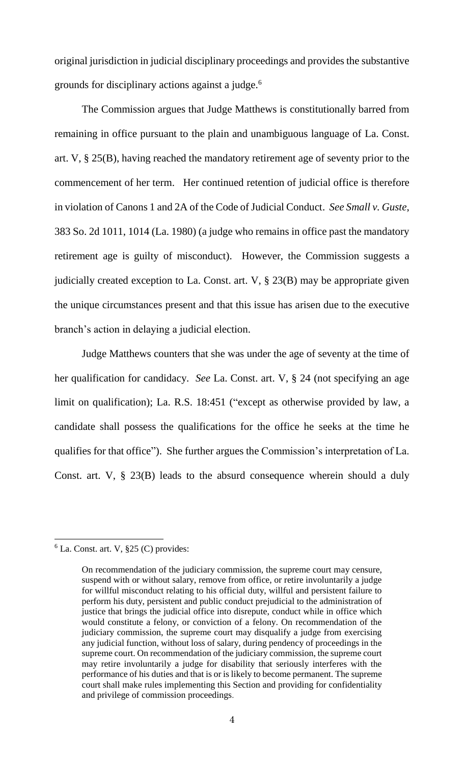original jurisdiction in judicial disciplinary proceedings and provides the substantive grounds for disciplinary actions against a judge.<sup>6</sup>

The Commission argues that Judge Matthews is constitutionally barred from remaining in office pursuant to the plain and unambiguous language of La. Const. art. V, § 25(B), having reached the mandatory retirement age of seventy prior to the commencement of her term. Her continued retention of judicial office is therefore in violation of Canons 1 and 2A of the Code of Judicial Conduct. *See Small v. Guste*, 383 So. 2d 1011, 1014 (La. 1980) (a judge who remains in office past the mandatory retirement age is guilty of misconduct). However, the Commission suggests a judicially created exception to La. Const. art. V, § 23(B) may be appropriate given the unique circumstances present and that this issue has arisen due to the executive branch's action in delaying a judicial election.

Judge Matthews counters that she was under the age of seventy at the time of her qualification for candidacy. *See* La. Const. art. V, § 24 (not specifying an age limit on qualification); La. R.S. 18:451 ("except as otherwise provided by law, a candidate shall possess the qualifications for the office he seeks at the time he qualifies for that office"). She further argues the Commission's interpretation of La. Const. art. V, § 23(B) leads to the absurd consequence wherein should a duly

 $6$  La. Const. art. V,  $\S 25$  (C) provides:

On recommendation of the judiciary commission, the supreme court may censure, suspend with or without salary, remove from office, or retire involuntarily a judge for willful misconduct relating to his official duty, willful and persistent failure to perform his duty, persistent and public conduct prejudicial to the administration of justice that brings the judicial office into disrepute, conduct while in office which would constitute a felony, or conviction of a felony. On recommendation of the judiciary commission, the supreme court may disqualify a judge from exercising any judicial function, without loss of salary, during pendency of proceedings in the supreme court. On recommendation of the judiciary commission, the supreme court may retire involuntarily a judge for disability that seriously interferes with the performance of his duties and that is or is likely to become permanent. The supreme court shall make rules implementing this Section and providing for confidentiality and privilege of commission proceedings.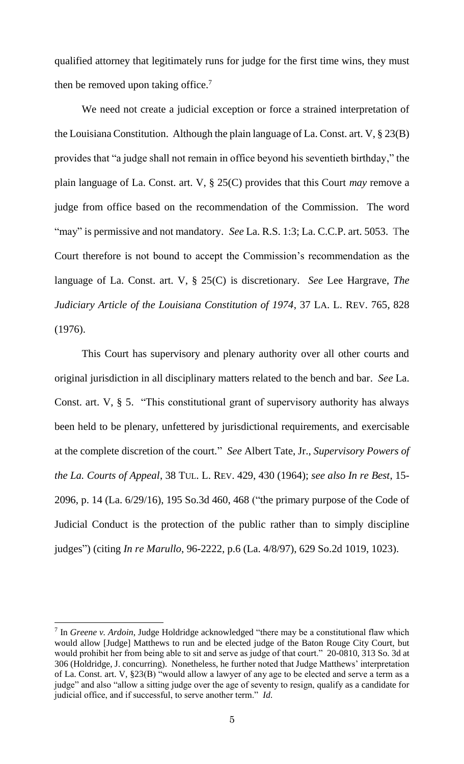qualified attorney that legitimately runs for judge for the first time wins, they must then be removed upon taking office.<sup>7</sup>

We need not create a judicial exception or force a strained interpretation of the Louisiana Constitution. Although the plain language of La. Const. art. V, § 23(B) provides that "a judge shall not remain in office beyond his seventieth birthday," the plain language of La. Const. art. V, § 25(C) provides that this Court *may* remove a judge from office based on the recommendation of the Commission. The word "may" is permissive and not mandatory. *See* La. R.S. 1:3; La. C.C.P. art. 5053. The Court therefore is not bound to accept the Commission's recommendation as the language of La. Const. art. V, § 25(C) is discretionary. *See* Lee Hargrave, *The Judiciary Article of the Louisiana Constitution of 1974*, 37 LA. L. REV. 765, 828 (1976).

This Court has supervisory and plenary authority over all other courts and original jurisdiction in all disciplinary matters related to the bench and bar. *See* La. Const. art. V, § 5. "This constitutional grant of supervisory authority has always been held to be plenary, unfettered by jurisdictional requirements, and exercisable at the complete discretion of the court*.*" *See* Albert Tate, Jr., *Supervisory Powers of the La. Courts of Appeal*, 38 TUL. L. REV. 429, 430 (1964); *see also In re Best*, 15- 2096, p. 14 (La. 6/29/16), 195 So.3d 460, 468 ("the primary purpose of the Code of Judicial Conduct is the protection of the public rather than to simply discipline judges") (citing *In re Marullo*, 96-2222, p.6 (La. 4/8/97), 629 So.2d 1019, 1023).

<sup>&</sup>lt;sup>7</sup> In *Greene v. Ardoin*, Judge Holdridge acknowledged "there may be a constitutional flaw which would allow [Judge] Matthews to run and be elected judge of the Baton Rouge City Court, but would prohibit her from being able to sit and serve as judge of that court." 20-0810, 313 So. 3d at 306 (Holdridge, J. concurring). Nonetheless, he further noted that Judge Matthews' interpretation of La. Const. art. V, §23(B) "would allow a lawyer of any age to be elected and serve a term as a judge" and also "allow a sitting judge over the age of seventy to resign, qualify as a candidate for judicial office, and if successful, to serve another term." *Id*.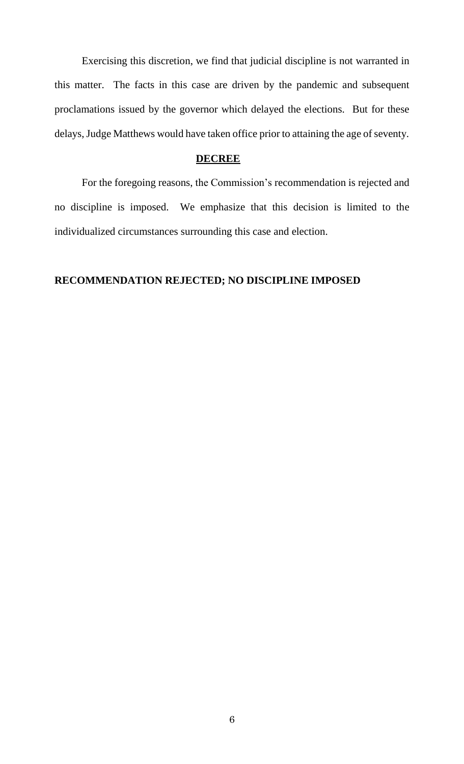Exercising this discretion, we find that judicial discipline is not warranted in this matter. The facts in this case are driven by the pandemic and subsequent proclamations issued by the governor which delayed the elections. But for these delays, Judge Matthews would have taken office prior to attaining the age of seventy.

#### **DECREE**

For the foregoing reasons, the Commission's recommendation is rejected and no discipline is imposed. We emphasize that this decision is limited to the individualized circumstances surrounding this case and election.

# **RECOMMENDATION REJECTED; NO DISCIPLINE IMPOSED**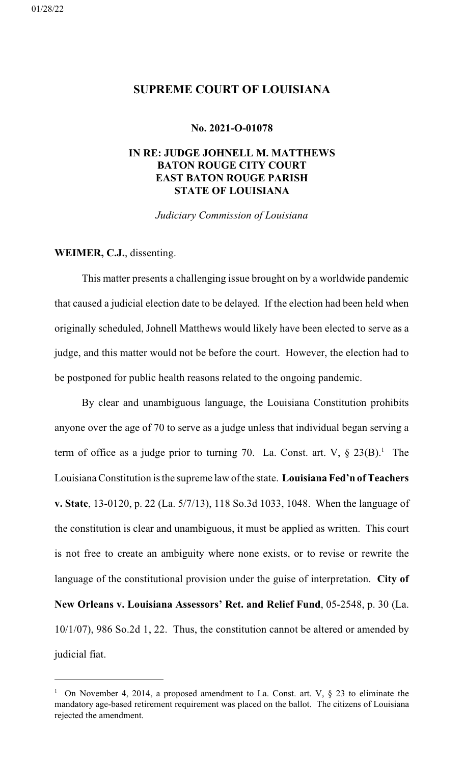# <span id="page-7-0"></span>**SUPREME COURT OF LOUISIANA**

#### **No. 2021-O-01078**

# **IN RE: JUDGE JOHNELL M. MATTHEWS BATON ROUGE CITY COURT EAST BATON ROUGE PARISH STATE OF LOUISIANA**

*Judiciary Commission of Louisiana*

# **WEIMER, C.J.**, dissenting.

This matter presents a challenging issue brought on by a worldwide pandemic that caused a judicial election date to be delayed. If the election had been held when originally scheduled, Johnell Matthews would likely have been elected to serve as a judge, and this matter would not be before the court. However, the election had to be postponed for public health reasons related to the ongoing pandemic.

By clear and unambiguous language, the Louisiana Constitution prohibits anyone over the age of 70 to serve as a judge unless that individual began serving a term of office as a judge prior to turning 70. La. Const. art. V,  $\S 23(B)$ .<sup>1</sup> The Louisiana Constitution is the supreme law of the state. **Louisiana Fed'n of Teachers v. State**, 13-0120, p. 22 (La. 5/7/13), 118 So.3d 1033, 1048. When the language of the constitution is clear and unambiguous, it must be applied as written. This court is not free to create an ambiguity where none exists, or to revise or rewrite the language of the constitutional provision under the guise of interpretation. **City of New Orleans v. Louisiana Assessors' Ret. and Relief Fund**, 05-2548, p. 30 (La. 10/1/07), 986 So.2d 1, 22. Thus, the constitution cannot be altered or amended by judicial fiat.

<sup>&</sup>lt;sup>1</sup> On November 4, 2014, a proposed amendment to La. Const. art. V,  $\S$  23 to eliminate the mandatory age-based retirement requirement was placed on the ballot. The citizens of Louisiana rejected the amendment.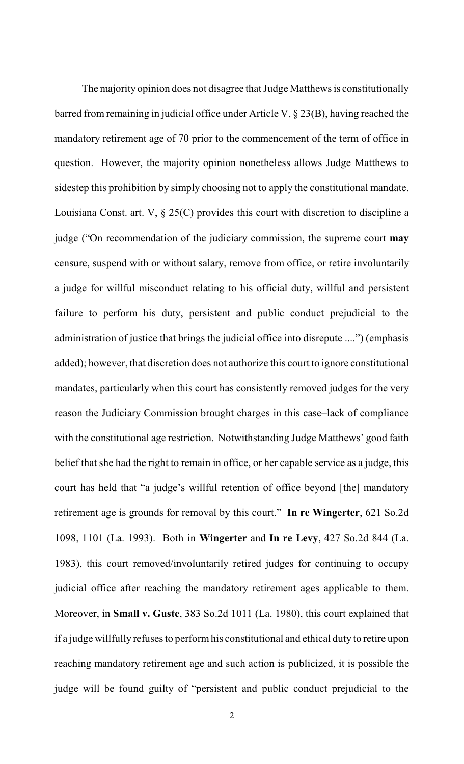The majority opinion does not disagree that Judge Matthews is constitutionally barred from remaining in judicial office under Article V, § 23(B), having reached the mandatory retirement age of 70 prior to the commencement of the term of office in question. However, the majority opinion nonetheless allows Judge Matthews to sidestep this prohibition by simply choosing not to apply the constitutional mandate. Louisiana Const. art. V, § 25(C) provides this court with discretion to discipline a judge ("On recommendation of the judiciary commission, the supreme court **may** censure, suspend with or without salary, remove from office, or retire involuntarily a judge for willful misconduct relating to his official duty, willful and persistent failure to perform his duty, persistent and public conduct prejudicial to the administration of justice that brings the judicial office into disrepute ....") (emphasis added); however, that discretion does not authorize this court to ignore constitutional mandates, particularly when this court has consistently removed judges for the very reason the Judiciary Commission brought charges in this case–lack of compliance with the constitutional age restriction. Notwithstanding Judge Matthews' good faith belief that she had the right to remain in office, or her capable service as a judge, this court has held that "a judge's willful retention of office beyond [the] mandatory retirement age is grounds for removal by this court." **In re Wingerter**, 621 So.2d 1098, 1101 (La. 1993). Both in **Wingerter** and **In re Levy**, 427 So.2d 844 (La. 1983), this court removed/involuntarily retired judges for continuing to occupy judicial office after reaching the mandatory retirement ages applicable to them. Moreover, in **Small v. Guste**, 383 So.2d 1011 (La. 1980), this court explained that if a judge willfully refusesto performhis constitutional and ethical duty to retire upon reaching mandatory retirement age and such action is publicized, it is possible the judge will be found guilty of "persistent and public conduct prejudicial to the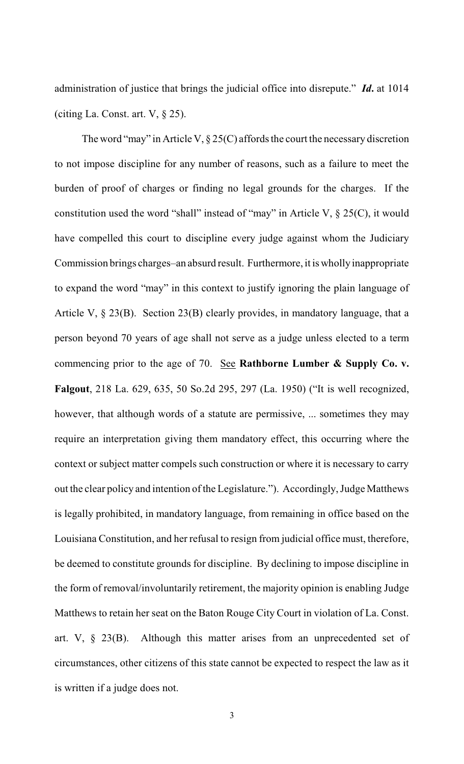administration of justice that brings the judicial office into disrepute." *Id***.** at 1014 (citing La. Const. art. V, § 25).

The word "may" in Article V,  $\S 25(C)$  affords the court the necessary discretion to not impose discipline for any number of reasons, such as a failure to meet the burden of proof of charges or finding no legal grounds for the charges. If the constitution used the word "shall" instead of "may" in Article V,  $\S 25(C)$ , it would have compelled this court to discipline every judge against whom the Judiciary Commission brings charges–an absurd result. Furthermore, it is wholly inappropriate to expand the word "may" in this context to justify ignoring the plain language of Article V, § 23(B). Section 23(B) clearly provides, in mandatory language, that a person beyond 70 years of age shall not serve as a judge unless elected to a term commencing prior to the age of 70. See **Rathborne Lumber & Supply Co. v. Falgout**, 218 La. 629, 635, 50 So.2d 295, 297 (La. 1950) ("It is well recognized, however, that although words of a statute are permissive, ... sometimes they may require an interpretation giving them mandatory effect, this occurring where the context or subject matter compels such construction or where it is necessary to carry out the clear policy and intention of the Legislature."). Accordingly, Judge Matthews is legally prohibited, in mandatory language, from remaining in office based on the Louisiana Constitution, and her refusal to resign from judicial office must, therefore, be deemed to constitute grounds for discipline. By declining to impose discipline in the form of removal/involuntarily retirement, the majority opinion is enabling Judge Matthews to retain her seat on the Baton Rouge City Court in violation of La. Const. art. V, § 23(B). Although this matter arises from an unprecedented set of circumstances, other citizens of this state cannot be expected to respect the law as it is written if a judge does not.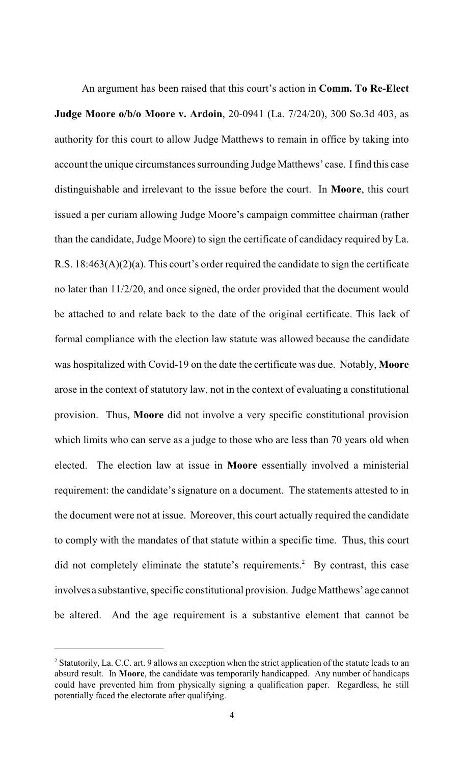An argument has been raised that this court's action in **Comm. To Re-Elect Judge Moore o/b/o Moore v. Ardoin**, 20-0941 (La. 7/24/20), 300 So.3d 403, as authority for this court to allow Judge Matthews to remain in office by taking into account the unique circumstances surrounding Judge Matthews' case. I find this case distinguishable and irrelevant to the issue before the court. In **Moore**, this court issued a per curiam allowing Judge Moore's campaign committee chairman (rather than the candidate, Judge Moore) to sign the certificate of candidacy required by La. R.S. 18:463(A)(2)(a). This court's order required the candidate to sign the certificate no later than 11/2/20, and once signed, the order provided that the document would be attached to and relate back to the date of the original certificate. This lack of formal compliance with the election law statute was allowed because the candidate was hospitalized with Covid-19 on the date the certificate was due. Notably, **Moore** arose in the context of statutory law, not in the context of evaluating a constitutional provision. Thus, **Moore** did not involve a very specific constitutional provision which limits who can serve as a judge to those who are less than 70 years old when elected. The election law at issue in **Moore** essentially involved a ministerial requirement: the candidate's signature on a document. The statements attested to in the document were not at issue. Moreover, this court actually required the candidate to comply with the mandates of that statute within a specific time. Thus, this court did not completely eliminate the statute's requirements. <sup>2</sup> By contrast, this case involves a substantive, specific constitutional provision. Judge Matthews' age cannot be altered. And the age requirement is a substantive element that cannot be

<sup>&</sup>lt;sup>2</sup> Statutorily, La. C.C. art. 9 allows an exception when the strict application of the statute leads to an absurd result. In **Moore**, the candidate was temporarily handicapped. Any number of handicaps could have prevented him from physically signing a qualification paper. Regardless, he still potentially faced the electorate after qualifying.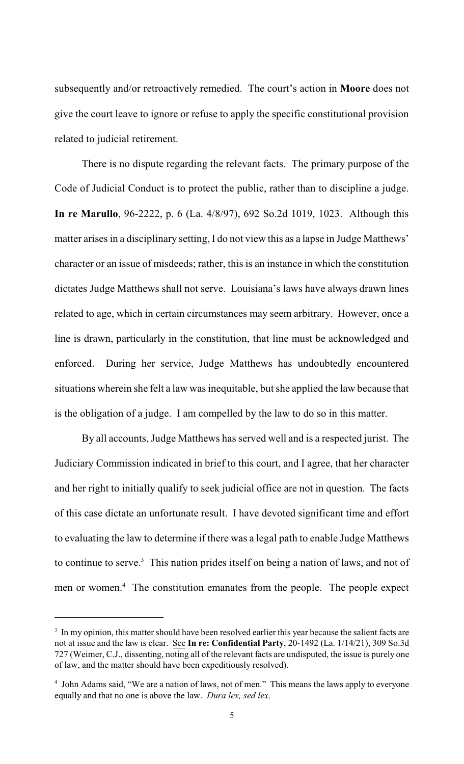subsequently and/or retroactively remedied. The court's action in **Moore** does not give the court leave to ignore or refuse to apply the specific constitutional provision related to judicial retirement.

There is no dispute regarding the relevant facts. The primary purpose of the Code of Judicial Conduct is to protect the public, rather than to discipline a judge. **In re Marullo**, 96-2222, p. 6 (La. 4/8/97), 692 So.2d 1019, 1023. Although this matter arises in a disciplinary setting, I do not view this as a lapse in Judge Matthews' character or an issue of misdeeds; rather, this is an instance in which the constitution dictates Judge Matthews shall not serve. Louisiana's laws have always drawn lines related to age, which in certain circumstances may seem arbitrary. However, once a line is drawn, particularly in the constitution, that line must be acknowledged and enforced. During her service, Judge Matthews has undoubtedly encountered situations wherein she felt a law was inequitable, but she applied the law because that is the obligation of a judge. I am compelled by the law to do so in this matter.

By all accounts, Judge Matthews has served well and is a respected jurist. The Judiciary Commission indicated in brief to this court, and I agree, that her character and her right to initially qualify to seek judicial office are not in question. The facts of this case dictate an unfortunate result. I have devoted significant time and effort to evaluating the law to determine if there was a legal path to enable Judge Matthews to continue to serve. $3$  This nation prides itself on being a nation of laws, and not of men or women. <sup>4</sup> The constitution emanates from the people. The people expect

<sup>&</sup>lt;sup>3</sup> In my opinion, this matter should have been resolved earlier this year because the salient facts are not at issue and the law is clear. See **In re: Confidential Party**, 20-1492 (La. 1/14/21), 309 So.3d 727 (Weimer, C.J., dissenting, noting all of the relevant facts are undisputed, the issue is purely one of law, and the matter should have been expeditiously resolved).

<sup>&</sup>lt;sup>4</sup> John Adams said, "We are a nation of laws, not of men." This means the laws apply to everyone equally and that no one is above the law. *Dura lex, sed lex*.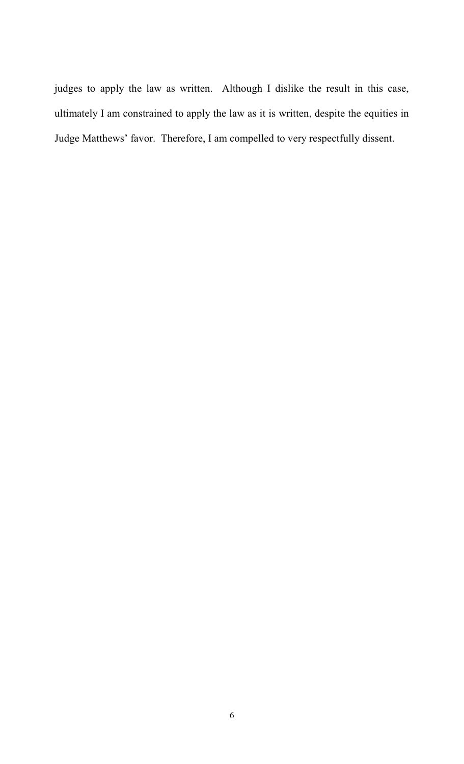judges to apply the law as written. Although I dislike the result in this case, ultimately I am constrained to apply the law as it is written, despite the equities in Judge Matthews' favor. Therefore, I am compelled to very respectfully dissent.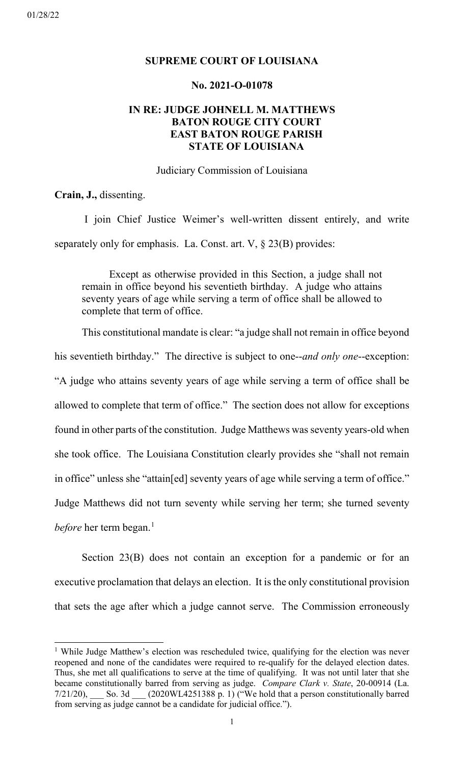#### <span id="page-13-0"></span>01/28/22

# **SUPREME COURT OF LOUISIANA**

# **No. 2021-O-01078**

# **IN RE: JUDGE JOHNELL M. MATTHEWS BATON ROUGE CITY COURT EAST BATON ROUGE PARISH STATE OF LOUISIANA**

Judiciary Commission of Louisiana

**Crain, J.,** dissenting.

 I join Chief Justice Weimer's well-written dissent entirely, and write separately only for emphasis. La. Const. art. V, § 23(B) provides:

Except as otherwise provided in this Section, a judge shall not remain in office beyond his seventieth birthday. A judge who attains seventy years of age while serving a term of office shall be allowed to complete that term of office.

This constitutional mandate is clear: "a judge shall not remain in office beyond his seventieth birthday." The directive is subject to one--*and only one*--exception: "A judge who attains seventy years of age while serving a term of office shall be allowed to complete that term of office." The section does not allow for exceptions found in other parts of the constitution. Judge Matthews was seventy years-old when she took office. The Louisiana Constitution clearly provides she "shall not remain in office" unless she "attain[ed] seventy years of age while serving a term of office." Judge Matthews did not turn seventy while serving her term; she turned seventy *before* her term began. [1](#page-13-1)

Section 23(B) does not contain an exception for a pandemic or for an executive proclamation that delays an election. It is the only constitutional provision that sets the age after which a judge cannot serve. The Commission erroneously

<span id="page-13-1"></span><sup>&</sup>lt;sup>1</sup> While Judge Matthew's election was rescheduled twice, qualifying for the election was never reopened and none of the candidates were required to re-qualify for the delayed election dates. Thus, she met all qualifications to serve at the time of qualifying. It was not until later that she became constitutionally barred from serving as judge. *Compare Clark v. State*, 20-00914 (La. 7/21/20), \_\_\_ So. 3d \_\_\_ (2020WL4251388 p. 1) ("We hold that a person constitutionally barred from serving as judge cannot be a candidate for judicial office.").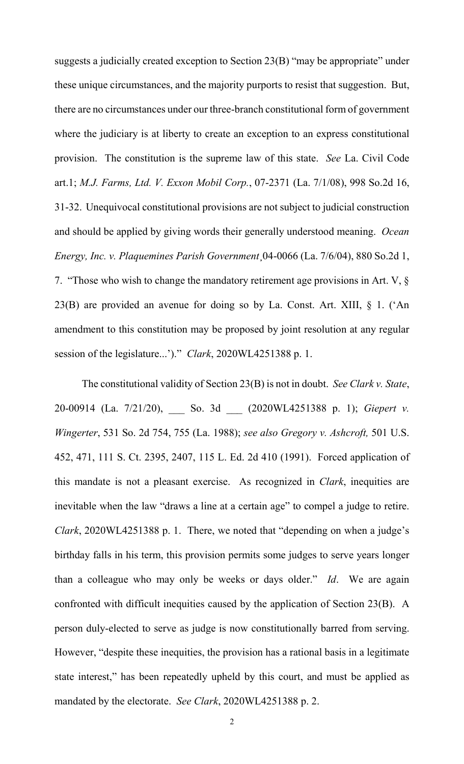suggests a judicially created exception to Section 23(B) "may be appropriate" under these unique circumstances, and the majority purports to resist that suggestion. But, there are no circumstances under our three-branch constitutional form of government where the judiciary is at liberty to create an exception to an express constitutional provision. The constitution is the supreme law of this state. *See* La. Civil Code art.1; *M.J. Farms, Ltd. V. Exxon Mobil Corp.*, 07-2371 (La. 7/1/08), 998 So.2d 16, 31-32. Unequivocal constitutional provisions are not subject to judicial construction and should be applied by giving words their generally understood meaning. *Ocean Energy, Inc. v. Plaquemines Parish Government*¸04-0066 (La. 7/6/04), 880 So.2d 1, 7. "Those who wish to change the mandatory retirement age provisions in Art. V, § 23(B) are provided an avenue for doing so by La. Const. Art. XIII, § 1. ('An amendment to this constitution may be proposed by joint resolution at any regular session of the legislature...')." *Clark*, 2020WL4251388 p. 1.

The constitutional validity of Section 23(B) is not in doubt. *See Clark v. State*, 20-00914 (La. 7/21/20), \_\_\_ So. 3d \_\_\_ (2020WL4251388 p. 1); *Giepert v. Wingerter*, 531 So. 2d 754, 755 (La. 1988); *see also Gregory v. Ashcroft,* 501 U.S. 452, 471, 111 S. Ct. 2395, 2407, 115 L. Ed. 2d 410 (1991). Forced application of this mandate is not a pleasant exercise. As recognized in *Clark*, inequities are inevitable when the law "draws a line at a certain age" to compel a judge to retire. *Clark*, 2020WL4251388 p. 1. There, we noted that "depending on when a judge's birthday falls in his term, this provision permits some judges to serve years longer than a colleague who may only be weeks or days older." *Id*. We are again confronted with difficult inequities caused by the application of Section 23(B). A person duly-elected to serve as judge is now constitutionally barred from serving. However, "despite these inequities, the provision has a rational basis in a legitimate state interest," has been repeatedly upheld by this court, and must be applied as mandated by the electorate. *See Clark*, 2020WL4251388 p. 2.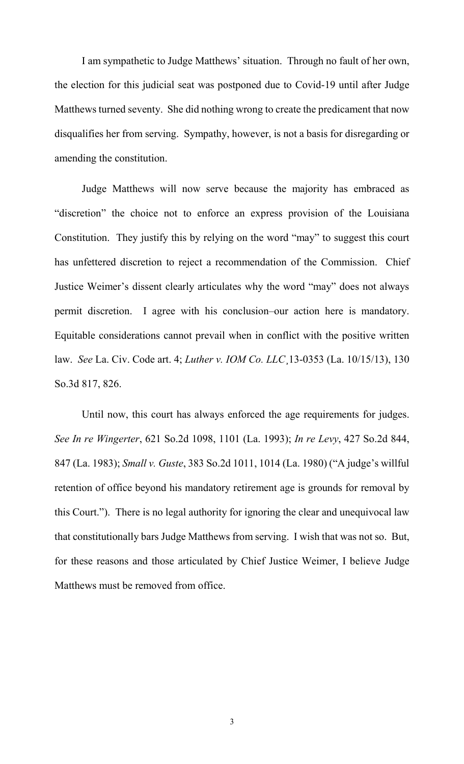I am sympathetic to Judge Matthews' situation. Through no fault of her own, the election for this judicial seat was postponed due to Covid-19 until after Judge Matthews turned seventy. She did nothing wrong to create the predicament that now disqualifies her from serving. Sympathy, however, is not a basis for disregarding or amending the constitution.

Judge Matthews will now serve because the majority has embraced as "discretion" the choice not to enforce an express provision of the Louisiana Constitution. They justify this by relying on the word "may" to suggest this court has unfettered discretion to reject a recommendation of the Commission. Chief Justice Weimer's dissent clearly articulates why the word "may" does not always permit discretion. I agree with his conclusion–our action here is mandatory. Equitable considerations cannot prevail when in conflict with the positive written law. *See* La. Civ. Code art. 4; *Luther v. IOM Co. LLC*¸13-0353 (La. 10/15/13), 130 So.3d 817, 826.

Until now, this court has always enforced the age requirements for judges. *See In re Wingerter*, 621 So.2d 1098, 1101 (La. 1993); *In re Levy*, 427 So.2d 844, 847 (La. 1983); *Small v. Guste*, 383 So.2d 1011, 1014 (La. 1980) ("A judge's willful retention of office beyond his mandatory retirement age is grounds for removal by this Court."). There is no legal authority for ignoring the clear and unequivocal law that constitutionally bars Judge Matthews from serving. I wish that was not so. But, for these reasons and those articulated by Chief Justice Weimer, I believe Judge Matthews must be removed from office.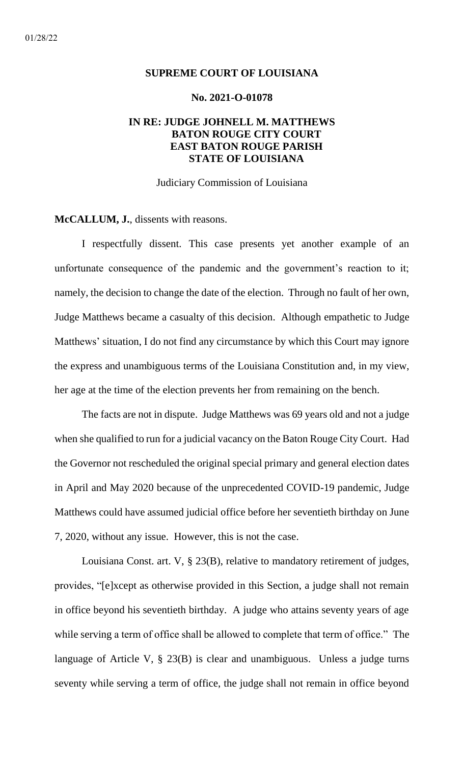#### <span id="page-16-0"></span>**SUPREME COURT OF LOUISIANA**

## **No. 2021-O-01078**

# **IN RE: JUDGE JOHNELL M. MATTHEWS BATON ROUGE CITY COURT EAST BATON ROUGE PARISH STATE OF LOUISIANA**

Judiciary Commission of Louisiana

**McCALLUM, J.**, dissents with reasons.

I respectfully dissent. This case presents yet another example of an unfortunate consequence of the pandemic and the government's reaction to it; namely, the decision to change the date of the election. Through no fault of her own, Judge Matthews became a casualty of this decision. Although empathetic to Judge Matthews' situation, I do not find any circumstance by which this Court may ignore the express and unambiguous terms of the Louisiana Constitution and, in my view, her age at the time of the election prevents her from remaining on the bench.

The facts are not in dispute. Judge Matthews was 69 years old and not a judge when she qualified to run for a judicial vacancy on the Baton Rouge City Court. Had the Governor not rescheduled the original special primary and general election dates in April and May 2020 because of the unprecedented COVID-19 pandemic, Judge Matthews could have assumed judicial office before her seventieth birthday on June 7, 2020, without any issue. However, this is not the case.

Louisiana Const. art. V, § 23(B), relative to mandatory retirement of judges, provides, "[e]xcept as otherwise provided in this Section, a judge shall not remain in office beyond his seventieth birthday. A judge who attains seventy years of age while serving a term of office shall be allowed to complete that term of office." The language of Article V, § 23(B) is clear and unambiguous. Unless a judge turns seventy while serving a term of office, the judge shall not remain in office beyond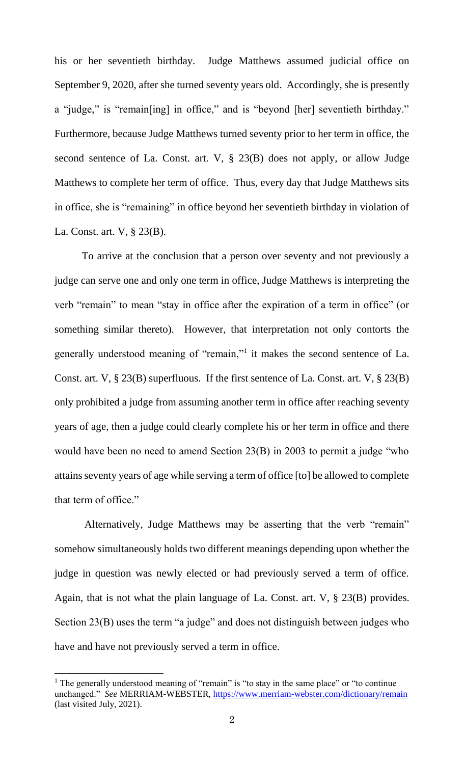his or her seventieth birthday. Judge Matthews assumed judicial office on September 9, 2020, after she turned seventy years old. Accordingly, she is presently a "judge," is "remain[ing] in office," and is "beyond [her] seventieth birthday." Furthermore, because Judge Matthews turned seventy prior to her term in office, the second sentence of La. Const. art. V, § 23(B) does not apply, or allow Judge Matthews to complete her term of office. Thus, every day that Judge Matthews sits in office, she is "remaining" in office beyond her seventieth birthday in violation of La. Const. art. V, § 23(B).

To arrive at the conclusion that a person over seventy and not previously a judge can serve one and only one term in office, Judge Matthews is interpreting the verb "remain" to mean "stay in office after the expiration of a term in office" (or something similar thereto). However, that interpretation not only contorts the generally understood meaning of "remain,"<sup>1</sup> it makes the second sentence of La. Const. art. V, § 23(B) superfluous. If the first sentence of La. Const. art. V, § 23(B) only prohibited a judge from assuming another term in office after reaching seventy years of age, then a judge could clearly complete his or her term in office and there would have been no need to amend Section 23(B) in 2003 to permit a judge "who attains seventy years of age while serving a term of office [to] be allowed to complete that term of office."

Alternatively, Judge Matthews may be asserting that the verb "remain" somehow simultaneously holds two different meanings depending upon whether the judge in question was newly elected or had previously served a term of office. Again, that is not what the plain language of La. Const. art. V, § 23(B) provides. Section 23(B) uses the term "a judge" and does not distinguish between judges who have and have not previously served a term in office.

 $<sup>1</sup>$  The generally understood meaning of "remain" is "to stay in the same place" or "to continue</sup> unchanged." *See* MERRIAM-WEBSTER,<https://www.merriam-webster.com/dictionary/remain> (last visited July, 2021).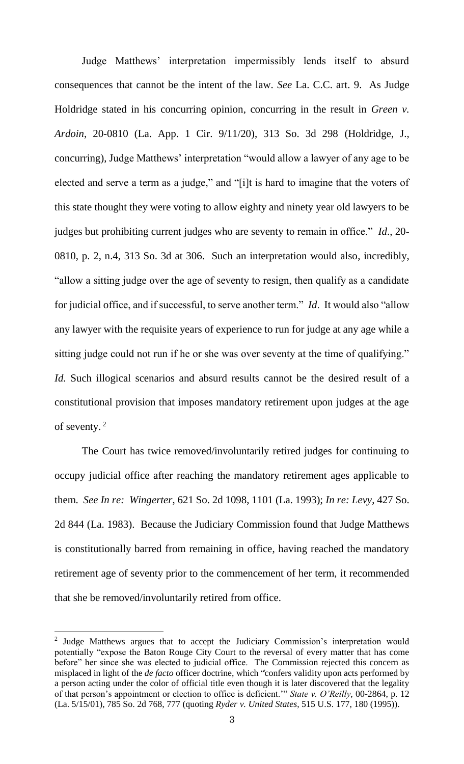Judge Matthews' interpretation impermissibly lends itself to absurd consequences that cannot be the intent of the law. *See* La. C.C. art. 9. As Judge Holdridge stated in his concurring opinion, concurring in the result in *Green v. Ardoin*, 20-0810 (La. App. 1 Cir. 9/11/20), 313 So. 3d 298 (Holdridge, J., concurring), Judge Matthews' interpretation "would allow a lawyer of any age to be elected and serve a term as a judge," and "[i]t is hard to imagine that the voters of this state thought they were voting to allow eighty and ninety year old lawyers to be judges but prohibiting current judges who are seventy to remain in office." *Id*., 20- 0810, p. 2, n.4, 313 So. 3d at 306. Such an interpretation would also, incredibly, "allow a sitting judge over the age of seventy to resign, then qualify as a candidate for judicial office, and if successful, to serve another term." *Id*. It would also "allow any lawyer with the requisite years of experience to run for judge at any age while a sitting judge could not run if he or she was over seventy at the time of qualifying." *Id.* Such illogical scenarios and absurd results cannot be the desired result of a constitutional provision that imposes mandatory retirement upon judges at the age of seventy. $2$ 

The Court has twice removed/involuntarily retired judges for continuing to occupy judicial office after reaching the mandatory retirement ages applicable to them. *See In re: Wingerter*, 621 So. 2d 1098, 1101 (La. 1993); *In re: Levy*, 427 So. 2d 844 (La. 1983). Because the Judiciary Commission found that Judge Matthews is constitutionally barred from remaining in office, having reached the mandatory retirement age of seventy prior to the commencement of her term, it recommended that she be removed/involuntarily retired from office.

<sup>&</sup>lt;sup>2</sup> Judge Matthews argues that to accept the Judiciary Commission's interpretation would potentially "expose the Baton Rouge City Court to the reversal of every matter that has come before" her since she was elected to judicial office. The Commission rejected this concern as misplaced in light of the *de facto* officer doctrine, which "confers validity upon acts performed by a person acting under the color of official title even though it is later discovered that the legality of that person's appointment or election to office is deficient.'" *State v. O'Reilly*, 00-2864, p. 12 (La. 5/15/01), 785 So. 2d 768, 777 (quoting *Ryder v. United States*, 515 U.S. 177, 180 (1995)).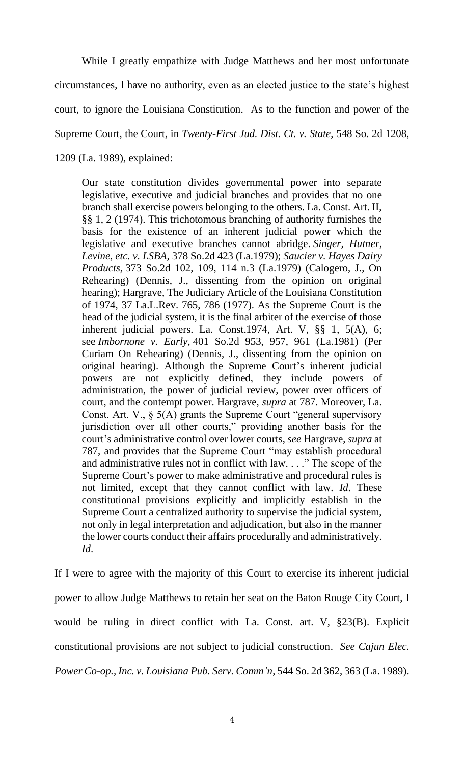While I greatly empathize with Judge Matthews and her most unfortunate

circumstances, I have no authority, even as an elected justice to the state's highest

court, to ignore the Louisiana Constitution. As to the function and power of the

Supreme Court, the Court, in *Twenty-First Jud. Dist. Ct. v. State*, 548 So. 2d 1208,

1209 (La. 1989), explained:

Our state constitution divides governmental power into separate legislative, executive and judicial branches and provides that no one branch shall exercise powers belonging to the others. La. Const. Art. II, §§ 1, 2 (1974). This trichotomous branching of authority furnishes the basis for the existence of an inherent judicial power which the legislative and executive branches cannot abridge. *Singer, Hutner, Levine, etc. v. LSBA,* 378 So.2d 423 (La.1979); *Saucier v. Hayes Dairy Products,* 373 So.2d 102, 109, 114 n.3 (La.1979) (Calogero, J., On Rehearing) (Dennis, J., dissenting from the opinion on original hearing); Hargrave, The Judiciary Article of the Louisiana Constitution of 1974, 37 La.L.Rev. 765, 786 (1977). As the Supreme Court is the head of the judicial system, it is the final arbiter of the exercise of those inherent judicial powers. La. Const.1974, Art. V, §§ 1, 5(A), 6; see *Imbornone v. Early,* 401 So.2d 953, 957, 961 (La.1981) (Per Curiam On Rehearing) (Dennis, J., dissenting from the opinion on original hearing). Although the Supreme Court's inherent judicial powers are not explicitly defined, they include powers of administration, the power of judicial review, power over officers of court, and the contempt power. Hargrave, *supra* at 787. Moreover, La. Const. Art. V., § 5(A) grants the Supreme Court "general supervisory jurisdiction over all other courts," providing another basis for the court's administrative control over lower courts, *see* Hargrave, *supra* at 787, and provides that the Supreme Court "may establish procedural and administrative rules not in conflict with law. . . ." The scope of the Supreme Court's power to make administrative and procedural rules is not limited, except that they cannot conflict with law. *Id.* These constitutional provisions explicitly and implicitly establish in the Supreme Court a centralized authority to supervise the judicial system, not only in legal interpretation and adjudication, but also in the manner the lower courts conduct their affairs procedurally and administratively. *Id*.

If I were to agree with the majority of this Court to exercise its inherent judicial power to allow Judge Matthews to retain her seat on the Baton Rouge City Court, I would be ruling in direct conflict with La. Const. art. V, §23(B). Explicit constitutional provisions are not subject to judicial construction. *See Cajun Elec. Power Co-op., Inc. v. Louisiana Pub. Serv. Comm'n*, 544 So. 2d 362, 363 (La. 1989).